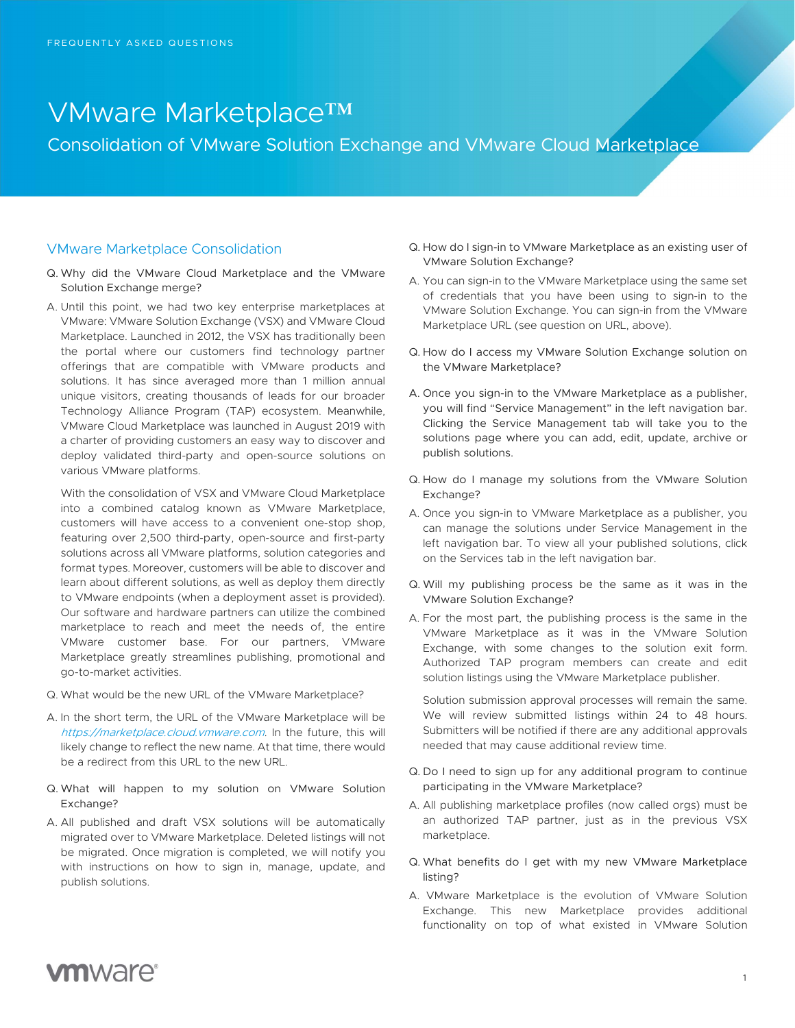# VMware Marketplace™

Consolidation of VMware Solution Exchange and VMware Cloud Marketplace

#### VMware Marketplace Consolidation

- Q. Why did the VMware Cloud Marketplace and the VMware Solution Exchange merge?
- A. Until this point, we had two key enterprise marketplaces at VMware: VMware Solution Exchange (VSX) and VMware Cloud Marketplace. Launched in 2012, the VSX has traditionally been the portal where our customers find technology partner offerings that are compatible with VMware products and solutions. It has since averaged more than 1 million annual unique visitors, creating thousands of leads for our broader Technology Alliance Program (TAP) ecosystem. Meanwhile, VMware Cloud Marketplace was launched in August 2019 with a charter of providing customers an easy way to discover and deploy validated third-party and open-source solutions on various VMware platforms.

With the consolidation of VSX and VMware Cloud Marketplace into a combined catalog known as VMware Marketplace, customers will have access to a convenient one-stop shop, featuring over 2,500 third-party, open-source and first-party solutions across all VMware platforms, solution categories and format types. Moreover, customers will be able to discover and learn about different solutions, as well as deploy them directly to VMware endpoints (when a deployment asset is provided). Our software and hardware partners can utilize the combined marketplace to reach and meet the needs of, the entire VMware customer base. For our partners, VMware Marketplace greatly streamlines publishing, promotional and go-to-market activities.

- Q. What would be the new URL of the VMware Marketplace?
- A. In the short term, the URL of the VMware Marketplace will be https://marketplace.cloud.vmware.com. In the future, this will likely change to reflect the new name. At that time, there would be a redirect from this URL to the new URL.
- Q. What will happen to my solution on VMware Solution Exchange?
- A. All published and draft VSX solutions will be automatically migrated over to VMware Marketplace. Deleted listings will not be migrated. Once migration is completed, we will notify you with instructions on how to sign in, manage, update, and publish solutions.
- Q. How do I sign-in to VMware Marketplace as an existing user of VMware Solution Exchange?
- A. You can sign-in to the VMware Marketplace using the same set of credentials that you have been using to sign-in to the VMware Solution Exchange. You can sign-in from the VMware Marketplace URL (see question on URL, above).
- Q. How do I access my VMware Solution Exchange solution on the VMware Marketplace?
- A. Once you sign-in to the VMware Marketplace as a publisher, you will find "Service Management" in the left navigation bar. Clicking the Service Management tab will take you to the solutions page where you can add, edit, update, archive or publish solutions.
- Q. How do I manage my solutions from the VMware Solution Exchange?
- A. Once you sign-in to VMware Marketplace as a publisher, you can manage the solutions under Service Management in the left navigation bar. To view all your published solutions, click on the Services tab in the left navigation bar.
- Q. Will my publishing process be the same as it was in the VMware Solution Exchange?
- A. For the most part, the publishing process is the same in the VMware Marketplace as it was in the VMware Solution Exchange, with some changes to the solution exit form. Authorized TAP program members can create and edit solution listings using the VMware Marketplace publisher.

Solution submission approval processes will remain the same. We will review submitted listings within 24 to 48 hours. Submitters will be notified if there are any additional approvals needed that may cause additional review time.

- Q. Do I need to sign up for any additional program to continue participating in the VMware Marketplace?
- A. All publishing marketplace profiles (now called orgs) must be an authorized TAP partner, just as in the previous VSX marketplace.
- Q. What benefits do I get with my new VMware Marketplace listing?
- A. VMware Marketplace is the evolution of VMware Solution Exchange. This new Marketplace provides additional functionality on top of what existed in VMware Solution

## **vm**ware<sup>®</sup>